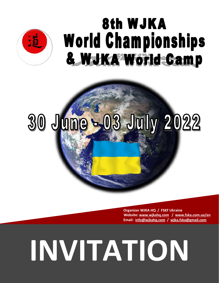

## 8th WJKA **World Championships** & WJKA World Camp

# 30 June = 03 July 2022

 **Organizer WJKA HQ / FSKF Ukraine Website: [www.wjkahq.com](http://www.wjkahq.com/) / [www.fska.com.ua/en](http://www.fska.com.ua/en) Email: [info@wjkahq.com](mailto:info@wjkahq.com) / [wjka.fska@gmail.com](mailto:wjka.fska@gmail.com)**

## **INVITATION**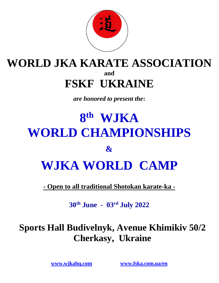

## **WORLD JKA KARATE ASSOCIATION and FSKF UKRAINE**

*are honored to present the***:**

## **8 th WJKA WORLD CHAMPIONSHIPS & WJKA WORLD CAMP**

**- Open to all traditional Shotokan karate-ka -**

**30th June - 03 rd July 2022**

## **Sports Hall Budivelnyk, Avenue Khimikiv 50/2 Cherkasy, Ukraine**

**[www.wjkahq.com](http://www.wjkahq.com/) [www.fska.com.ua/en](http://www.fska.com.ua/en)**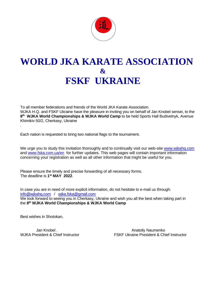

## **WORLD JKA KARATE ASSOCIATION & FSKF UKRAINE**

To all member federations and friends of the World JKA Karate Association. WJKA H.Q. and FSKF Ukraine have the pleasure in inviting you on behalf of Jan Knobel sensei, to the **8 th WJKA World Championships & WJKA World Camp** to be held Sports Hall Budivelnyk, Avenue Khimikiv 50/2, Cherkasy, Ukraine .

Each nation is requested to bring two national flags to the tournament.

We urge you to study this invitation thoroughly and to continually visit our web-site www.wikahq.com and www.fska.com.ua/en for further updates. This web pages will contain important information concerning your registration as well as all other information that might be useful for you.

Please ensure the timely and precise forwarding of all necessary forms. The deadline is **1 st MAY 2022**.

In case you are in need of more explicit information, do not hesitate to e-mail us through: [info@wjkahq.com](mailto:info@wjkahq.com) / [wjka.fska@gmail.com](mailto:wjka.fska@gmail.com) We look forward to seeing you in Cherkasy, Ukraine and wish you all the best when taking part in the **8 th WJKA World Championships & WJKA World Camp**

Best wishes in Shotokan,

Jan Knobel . Anatoliy Naumenko WJKA President & Chief Instructor FSKF Ukraine President & Chief Instructor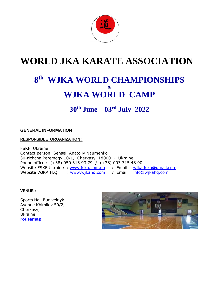

## **WORLD JKA KARATE ASSOCIATION**

## **8 th WJKA WORLD CHAMPIONSHIPS & WJKA WORLD CAMP**

**30th June – 03 rd July 2022**

## **GENERAL INFORMATION**

## **RESPONSIBLE ORGANIZATION :**

FSKF Ukraine Contact person: Sensei Anatoliy Naumenko 30-richcha Peremogy 10/1, Cherkasy 18000 - Ukraine Phone office : (+38) 050 313 93 79 / (+38) 093 315 48 90 Website FSKF Ukraine : [www.fska.com.ua](http://www.fska.com.ua/) / Email : [wjka.fska@gmail.com](mailto:wjka.fska@gmail.com) Website WJKA H.Q : [www.wjkahq.com](http://www.wjkahq.com/) / Email : info@wjkahq.com

## **VENUE :**

Sports Hall Budivelnyk Avenue Khimikiv 50/2, Cherkasy, Ukraine **[routemap](https://goo.gl/maps/qaaBPhuykwz)**

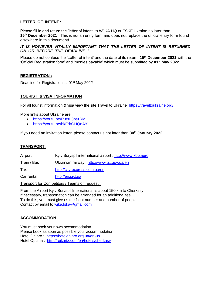## **LETTER OF INTENT :**

Please fill in and return the 'letter of intent' to WJKA HQ or FSKF Ukraine no later than **15th December 2021** This is not an entry form and does not replace the official entry form found elsewhere in this document!

## *IT IS HOWEVER VITALLY IMPORTANT THAT THE LETTER OF INTENT IS RETURNED ON OR BEFORE THE DEADLINE !*

Please do not confuse the 'Letter of intent' and the date of its return, **15th December 2021** with the 'Official Registration form' and 'monies payable' which must be submitted by **01st May 2022**

### **REGISTRATION :**

Deadline for Registration is 01<sup>st</sup> May 2022

## **TOURIST & VISA INFORMATION**

For all tourist information & visa view the site Travel to Ukraine <https://traveltoukraine.org/>

More links about Ukraine are

- <https://youtu.be/Pu8tL3ptXRM>
- <https://youtu.be/hkFdrOHQnAY>

If you need an invitation letter, please contact us not later than **30th January 2022**

## **TRANSPORT:**

Airport Kyiv Boryspil international airport : [http://www.kbp.aero](http://www.kbp.aero/)

Train / Bus Ukrainian railway :<http://www.uz.gov.ua/en>

Taxi <http://city-express.com.ua/en>

Car rental [http://en.sixt.ua](http://en.sixt.ua/)

Transport for Competitors / Teams on request :

From the Airport Kyiv Boryspil International is about 150 km to Cherkasy. If necessary, transportation can be arranged for an additional fee. To do this, you must give us the flight number and number of people. Contact by email to [wjka.fska@gmail.com](mailto:wjka.fska@gmail.com)

## **ACCOMMODATION**

You must book your own accommodation. Please book as soon as possible your accommodation Hotel Dnipro : <https://hoteldnipro.org.ua/en-us> Hotel Optima : <http://reikartz.com/en/hotels/cherkasy>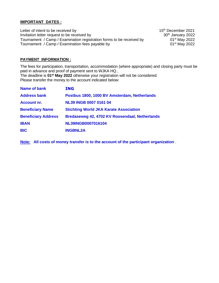## **IMPORTANT DATES :**

Letter of intent to be received by Invitation letter request to be received by Tournament / Camp / Examination registration forms to be received by Tournament / Camp / Examination fees payable by

th December 2021 th January 2022 01<sup>st</sup> May 2022 st May 2022

## **PAYMENT INFORMATION :**

The fees for participation, transportation, accommodation (where appropriate) and closing party must be paid in advance and proof of payment sent to WJKA HQ , The deadline is **01st May 2022** otherwise your registration will not be considered. Please transfer the money to the account indicated below:

| <b>Name of bank</b>        | <b>ING</b>                                     |
|----------------------------|------------------------------------------------|
| <b>Address bank</b>        | Postbus 1800, 1000 BV Amsterdam, Netherlands   |
| Account nr.                | <b>NL39 INGB 0007 0161 04</b>                  |
| <b>Beneficiary Name</b>    | <b>Stichting World JKA Karate Association</b>  |
| <b>Beneficiary Address</b> | Bredaseweg 42, 4702 KV Roosendaal, Netherlands |
| <b>IBAN</b>                | NL39INGB0007016104                             |
| <b>BIC</b>                 | <b>INGBNL2A</b>                                |
|                            |                                                |

**Note: All costs of money transfer is to the account of the participant organization** .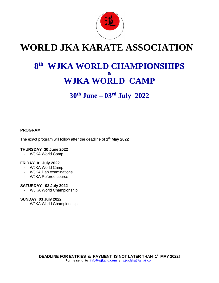

## **WORLD JKA KARATE ASSOCIATION**

## **8 th WJKA WORLD CHAMPIONSHIPS & WJKA WORLD CAMP**

**30th June – 03 rd July 2022**

## **PROGRAM**

The exact program will follow after the deadline of **1 th May 2022**

### **THURSDAY 30 June 2022**

- WJKA World Camp

## **FRIDAY 01 July 2022**

- WJKA World Camp
- WJKA Dan examinations
- WJKA Referee course

### **SATURDAY 02 July 2022**

- WJKA World Championship

## **SUNDAY 03 July 2022**

- WJKA World Championship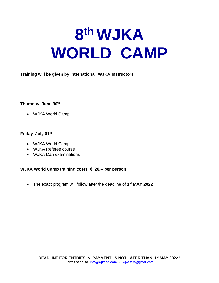## **8 th WJKA WORLD CAMP**

**Training will be given by International WJKA Instructors** 

## **Thursday June 30th**

• WJKA World Camp

## **Friday July 01st**

- WJKA World Camp
- WJKA Referee course
- WJKA Dan examinations

**WJKA World Camp training costs € 20,-- per person**

• The exact program will follow after the deadline of **1 st MAY 2022**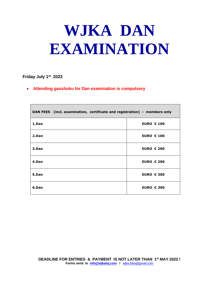## **WJKA DAN EXAMINATION**

## **Friday July 1 st 2022**

 $\blacksquare$ 

• **Attending gasshuku for Dan examination is compulsory**

| DAN FEES (incl. examination, certificate and registration) - members only |                   |
|---------------------------------------------------------------------------|-------------------|
| 1.Dan                                                                     | <b>EURO € 100</b> |
| 2.Dan                                                                     | <b>EURO € 100</b> |
| 3.Dan                                                                     | <b>EURO € 200</b> |
| 4.Dan                                                                     | <b>EURO € 200</b> |
| 5.Dan                                                                     | <b>EURO € 300</b> |
| 6.Dan                                                                     | <b>EURO € 300</b> |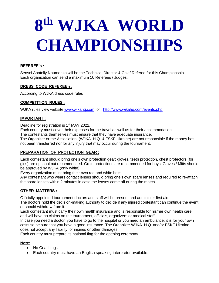## **8 th WJKA WORLD CHAMPIONSHIPS**

## **REFEREE's :**

Sensei Anatoliy Naumenko will be the Technical Director & Chief Referee for this Championship. Each organization can send a maximum 10 Referees / Judges.

## **DRESS CODE REFEREE's:**

According to WJKA dress code rules

## **COMPETITION RULES :**

WJKA rules view website [www.wjkahq.com](http://www.wjkahq.com/) or <http://www.wjkahq.com/events.php>

## **IMPORTANT :**

Deadline for registration is 1<sup>st</sup> MAY 2022.

Each country must cover their expenses for the travel as well as for their accommodation.

The contestants themselves must ensure that they have adequate insurance.

The Organizer or the Association (WJKA H.Q. & FSKF Ukraine) are not responsible if the money has not been transferred nor for any injury that may occur during the tournament.

## **PREPARATION OF PROTECTION GEAR :**

Each contestant should bring one's own protection gear: gloves, teeth protection, chest protectors (for girls) are optional but recommended. Groin protections are recommended for boys. Gloves / Mitts should be approved by WJKA (only white).

Every organization must bring their own red and white belts.

Any contestant who wears contact lenses should bring one's own spare lenses and required to re-attach the spare lenses within 2 minutes in case the lenses come off during the match.

## **OTHER MATTERS :**

Officially appointed tournament doctors and staff will be present and administer first aid.

The doctors hold the decision-making authority to decide if any injured contestant can continue the event or should withdraw from it.

Each contestant must carry their own health insurance and is responsible for his/her own health care and will have no claims on the tournament, officials, organizers or medical staff.

In case you need a doctor, you have to go to the hospital or you need an ambulance, it is for your own costs so be sure that you have a good insurance. The Organizer WJKA H.Q. and/or FSKF Ukraine does not accept any liability for injuries or other damages.

Each country must prepare its national flag for the opening ceremony.

## **Note:**

- No Coaching.
- Each country must have an English speaking interpreter available.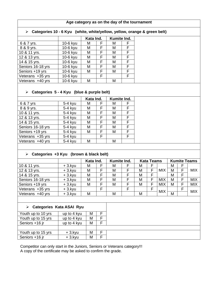## **Age category as on the day of the tournament**

## ➢ **Categories 10 - 6 Kyu (white, white/yellow, yellow, orange & green belt)**

|                   |          | Kata Ind. |   | Kumite Ind. |   |
|-------------------|----------|-----------|---|-------------|---|
| 6 & 7 yrs.        | 10-6 kyu | М         | F | M           |   |
| 8 & 9 yrs.        | 10-6 kyu | М         | F | M           |   |
| 10 & 11 yrs.      | 10-6 kyu | М         | F | M           | F |
| 12 & 13 yrs.      | 10-6 kyu | М         | F | M           |   |
| 14 & 15 yrs.      | 10-6 kyu | М         | F | M           | F |
| Seniors 16-18 yrs | 10-6 kyu | М         | F | M           | F |
| Seniors +19 yrs   | 10-6 kyu | М         | F | M           | F |
| Veterans +35 yrs  | 10-6 kyu |           | F |             |   |
| Veterans +40 yrs  | 10-6 kyu | М         |   | м           |   |

## ➢ **Categories 5 - 4 Kyu (blue & purple belt)**

|                   |         | Kata Ind. |    | Kumite Ind. |   |
|-------------------|---------|-----------|----|-------------|---|
| 6 & 7 yrs         | 5-4 kyu | м         | F. | М           |   |
| 8 & 9 yrs.        | 5-4 kyu | M         | F  | М           | F |
| 10 & 11 yrs.      | 5-4 kyu | M         | F  | Μ           | F |
| 12 & 13 yrs.      | 5-4 kyu | M         | F  | Μ           | F |
| 14 & 15 yrs.      | 5-4 kyu | M         | F  | Μ           | F |
| Seniors 16-18 yrs | 5-4 kyu | м         | F  | Μ           | F |
| Seniors +19 yrs   | 5-4 kyu | м         | F  | Μ           | F |
| Veterans +35 yrs  | 5-4 kyu |           | F  |             | F |
| Veterans +40 yrs  | 5-4 kyu | М         |    | М           |   |
|                   |         |           |    |             |   |

## ➢ **Categories +3 Kyu (brown & black belt)**

|                   |           | Kata Ind. |   | Kumite Ind. |   | <b>Kata Teams</b> |            |   | <b>Kumite Teams</b> |            |
|-------------------|-----------|-----------|---|-------------|---|-------------------|------------|---|---------------------|------------|
| 10 & 11 yrs.      | $+3.$ kyu | м         | F | М           | М |                   |            | М |                     |            |
| 12 & 13 yrs.      | $+3.$ kyu | M         |   | Μ           | M |                   | <b>MIX</b> | M | Е                   | <b>MIX</b> |
| 14 & 15 yrs.      | $+3.$ kyu | M         |   | Μ           | М |                   |            | М | F                   |            |
| Seniors 16-18 yrs | $+3.$ kyu | M         | F | Μ           | M |                   | <b>MIX</b> | М | F                   | <b>MIX</b> |
| Seniors +19 yrs   | $+3.$ kyu | M         | F | Μ           | М |                   | <b>MIX</b> | M | F                   | <b>MIX</b> |
| Veterans +35 yrs  | $+3.$ kyu |           | F |             |   |                   | <b>MIX</b> |   | F                   | <b>MIX</b> |
| Veterans +40 yrs  | $+3.$ kyu | M         |   | М           | M |                   |            | M |                     |            |
|                   |           |           |   |             |   |                   |            |   |                     |            |

## ➢ **Categories Kata ASAI Ryu**

| Youth up to 10 yrs | up to 4 kyu | M |   |
|--------------------|-------------|---|---|
| Youth up to 15 yrs | up to 4 kyu | M | F |
| Seniors +16 jr     | up to 4 kyu | M | F |
|                    |             |   |   |
| Youth up to 15 yrs | $+3.$ kyu   | М | F |
| Seniors +16 jr     | $+3.$ kyu   | M | F |

Competitor can only start in the Juniors, Seniors or Veterans category!!! A copy of the certificate may be asked to confirm the grade.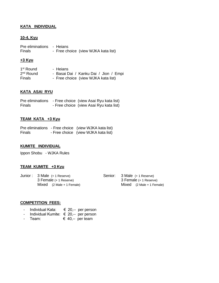## **KATA INDIVIDUAL**

## **10-4. Kyu**

| Pre eliminations - Heians |                                     |
|---------------------------|-------------------------------------|
| <b>Finals</b>             | - Free choice (view WJKA kata list) |

## **+3 Kyu**

| 1 <sup>st</sup> Round | - Heians                              |
|-----------------------|---------------------------------------|
| $2nd$ Round           | - Basai Dai / Kanku Dai / Jion / Empi |
| <b>Finals</b>         | - Free choice (view WJKA kata list)   |

### **KATA ASAI RYU**

| Pre eliminations | - Free choice (view Asai Ryu kata list) |
|------------------|-----------------------------------------|
| <b>Finals</b>    | - Free choice (view Asai Ryu kata list) |

## **TEAM KATA +3 Kyu**

|               | Pre eliminations - Free choice (view WJKA kata list) |
|---------------|------------------------------------------------------|
| <b>Finals</b> | - Free choice (view WJKA kata list)                  |

## **KUMITE INDIVIDUAL**

Ippon Shobu - WJKA Rules

## **TEAM KUMITE +3 Kyu**

|  | Junior: 3 Male (+ 1 Reserve) |
|--|------------------------------|
|  | 3 Female (+ 1 Reserve)       |
|  | $Mixed (2 Male + 1 Female)$  |

| Senior: | 3 Male (+ 1 Reserve)                        |
|---------|---------------------------------------------|
|         | 3 Female (+ 1 Reserve)                      |
|         | Mixed $(2 \text{ Male} + 1 \text{ Female})$ |

## **COMPETITION FEES:**

- Individual Kata: € 20,-- per person
- Individual Kumite: € 20,-- per person<br>- Team:  $\epsilon$  40,-- per team
- $\epsilon$  40,-- per team